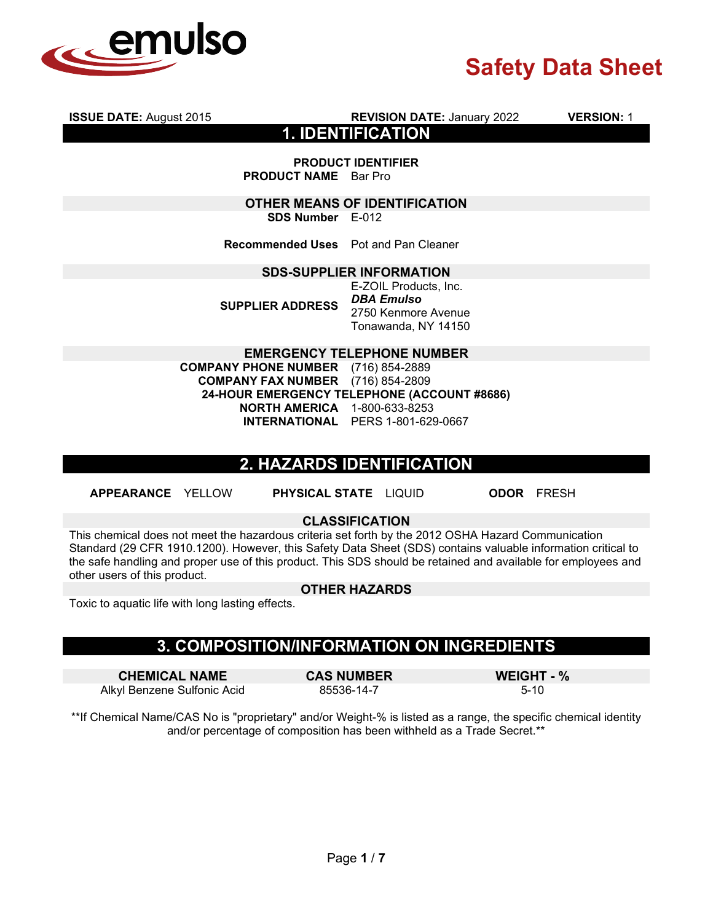

**ISSUE DATE:** August 2015 **REVISION DATE:** January 2022 **VERSION:** 1 **1. IDENTIFICATION**

**PRODUCT IDENTIFIER PRODUCT NAME** Bar Pro

**OTHER MEANS OF IDENTIFICATION SDS Number** E-012

**Recommended Uses** Pot and Pan Cleaner

#### **SDS-SUPPLIER INFORMATION**

**SUPPLIER ADDRESS**

E-ZOIL Products, Inc. *DBA Emulso*  2750 Kenmore Avenue Tonawanda, NY 14150

**EMERGENCY TELEPHONE NUMBER**

**COMPANY PHONE NUMBER** (716) 854-2889<br>**COMPANY FAX NUMBER** (716) 854-2809 **COMPANY FAX NUMBER 24-HOUR EMERGENCY TELEPHONE (ACCOUNT #8686) NORTH AMERICA** 1-800-633-8253 **INTERNATIONAL** PERS 1-801-629-0667

## **2. HAZARDS IDENTIFICATION**

**APPEARANCE** YELLOW **PHYSICAL STATE** LIQUID **ODOR** FRESH

#### **CLASSIFICATION**

This chemical does not meet the hazardous criteria set forth by the 2012 OSHA Hazard Communication Standard (29 CFR 1910.1200). However, this Safety Data Sheet (SDS) contains valuable information critical to the safe handling and proper use of this product. This SDS should be retained and available for employees and other users of this product.

#### **OTHER HAZARDS**

Toxic to aquatic life with long lasting effects.

## **3. COMPOSITION/INFORMATION ON INGREDIENTS**

**CHEMICAL NAME CAS NUMBER WEIGHT - %** Alkyl Benzene Sulfonic Acid

\*\*If Chemical Name/CAS No is "proprietary" and/or Weight-% is listed as a range, the specific chemical identity and/or percentage of composition has been withheld as a Trade Secret.\*\*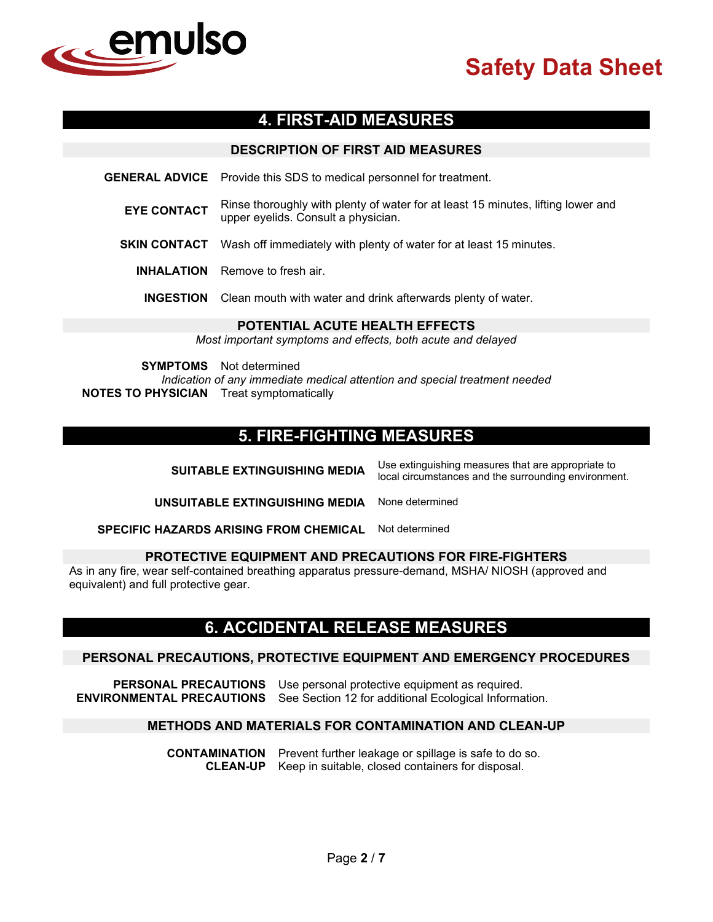

## **4. FIRST-AID MEASURES**

|                    | <b>DESCRIPTION OF FIRST AID MEASURES</b>                                                                                |
|--------------------|-------------------------------------------------------------------------------------------------------------------------|
|                    | <b>GENERAL ADVICE</b> Provide this SDS to medical personnel for treatment.                                              |
| <b>EYE CONTACT</b> | Rinse thoroughly with plenty of water for at least 15 minutes, lifting lower and<br>upper eyelids. Consult a physician. |
|                    | <b>SKIN CONTACT</b> Wash off immediately with plenty of water for at least 15 minutes.                                  |
|                    | <b>INHALATION</b> Remove to fresh air.                                                                                  |
|                    | <b>INGESTION</b> Clean mouth with water and drink afterwards plenty of water.                                           |
|                    | <b>POTENTIAL ACUTE HEALTH EFFECTS</b>                                                                                   |

*Most important symptoms and effects, both acute and delayed*

**SYMPTOMS** Not determined

*Indication of any immediate medical attention and special treatment needed* **NOTES TO PHYSICIAN** Treat symptomatically

## **5. FIRE-FIGHTING MEASURES**

| <b>SUITABLE EXTINGUISHING MEDIA</b>           | Use extinguishing measures that are appropriate to<br>local circumstances and the surrounding environment. |  |
|-----------------------------------------------|------------------------------------------------------------------------------------------------------------|--|
| UNSUITABLE EXTINGUISHING MEDIA                | None determined                                                                                            |  |
| <b>SPECIFIC HAZARDS ARISING FROM CHEMICAL</b> | Not determined                                                                                             |  |

#### **PROTECTIVE EQUIPMENT AND PRECAUTIONS FOR FIRE-FIGHTERS**

As in any fire, wear self-contained breathing apparatus pressure-demand, MSHA/ NIOSH (approved and equivalent) and full protective gear.

#### **6. ACCIDENTAL RELEASE MEASURES**

#### **PERSONAL PRECAUTIONS, PROTECTIVE EQUIPMENT AND EMERGENCY PROCEDURES**

**PERSONAL PRECAUTIONS** Use personal protective equipment as required. **ENVIRONMENTAL PRECAUTIONS** See Section 12 for additional Ecological Information.

#### **METHODS AND MATERIALS FOR CONTAMINATION AND CLEAN-UP**

**CONTAMINATION** Prevent further leakage or spillage is safe to do so. **CLEAN-UP** Keep in suitable, closed containers for disposal.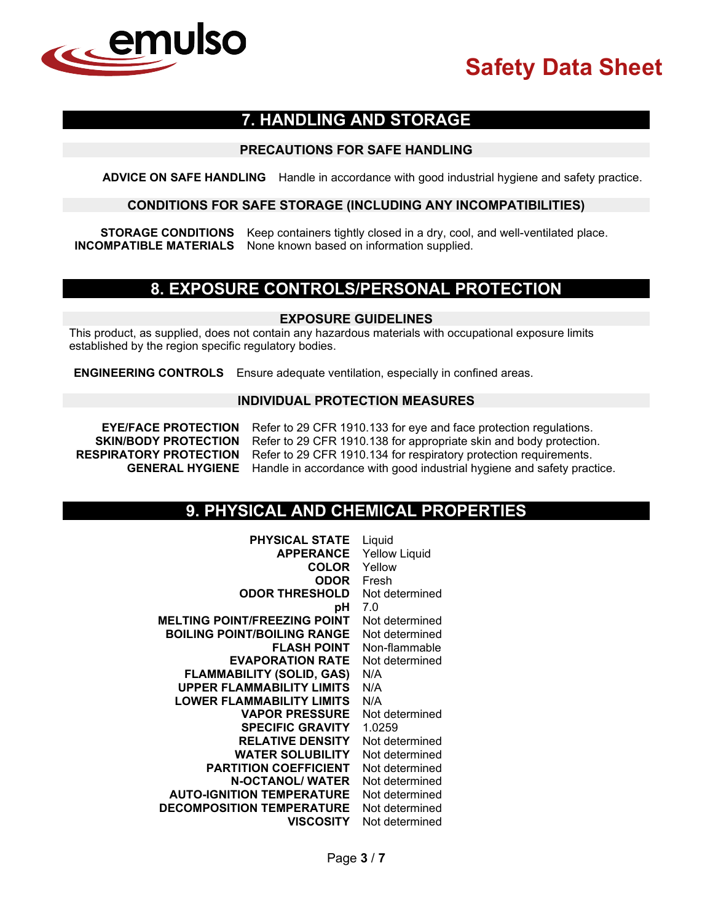

## **7. HANDLING AND STORAGE**

#### **PRECAUTIONS FOR SAFE HANDLING**

**ADVICE ON SAFE HANDLING** Handle in accordance with good industrial hygiene and safety practice.

#### **CONDITIONS FOR SAFE STORAGE (INCLUDING ANY INCOMPATIBILITIES)**

**STORAGE CONDITIONS** Keep containers tightly closed in a dry, cool, and well-ventilated place. **INCOMPATIBLE MATERIALS** None known based on information supplied.

## **8. EXPOSURE CONTROLS/PERSONAL PROTECTION**

#### **EXPOSURE GUIDELINES**

This product, as supplied, does not contain any hazardous materials with occupational exposure limits established by the region specific regulatory bodies.

**ENGINEERING CONTROLS** Ensure adequate ventilation, especially in confined areas.

#### **INDIVIDUAL PROTECTION MEASURES**

**EYE/FACE PROTECTION** Refer to 29 CFR 1910.133 for eye and face protection regulations.<br>**SKIN/BODY PROTECTION** Refer to 29 CFR 1910.138 for appropriate skin and body protection **SKIN/BODY PROTECTION** Refer to 29 CFR 1910.138 for appropriate skin and body protection.<br>**RESPIRATORY PROTECTION** Refer to 29 CFR 1910.134 for respiratory protection requirements. Refer to 29 CFR 1910.134 for respiratory protection requirements. **GENERAL HYGIENE** Handle in accordance with good industrial hygiene and safety practice.

## **9. PHYSICAL AND CHEMICAL PROPERTIES**

| <b>PHYSICAL STATE</b>               | Liquid               |
|-------------------------------------|----------------------|
| <b>APPERANCE</b>                    | <b>Yellow Liquid</b> |
| <b>COLOR</b>                        | Yellow               |
| ODOR                                | Fresh                |
| <b>ODOR THRESHOLD</b>               | Not determined       |
| рH                                  | 7.0                  |
| <b>MELTING POINT/FREEZING POINT</b> | Not determined       |
| <b>BOILING POINT/BOILING RANGE</b>  | Not determined       |
| <b>FLASH POINT</b>                  | Non-flammable        |
| <b>EVAPORATION RATE</b>             | Not determined       |
| <b>FLAMMABILITY (SOLID, GAS)</b>    | N/A                  |
| <b>UPPER FLAMMABILITY LIMITS</b>    | N/A                  |
| <b>LOWER FLAMMABILITY LIMITS</b>    | N/A                  |
| <b>VAPOR PRESSURE</b>               | Not determined       |
| <b>SPECIFIC GRAVITY</b>             | 1.0259               |
| <b>RELATIVE DENSITY</b>             | Not determined       |
| <b>WATER SOLUBILITY</b>             | Not determined       |
| <b>PARTITION COEFFICIENT</b>        | Not determined       |
| <b>N-OCTANOL/ WATER</b>             | Not determined       |
| <b>AUTO-IGNITION TEMPERATURE</b>    | Not determined       |
| <b>DECOMPOSITION TEMPERATURE</b>    | Not determined       |
| <b>VISCOSITY</b>                    | Not determined       |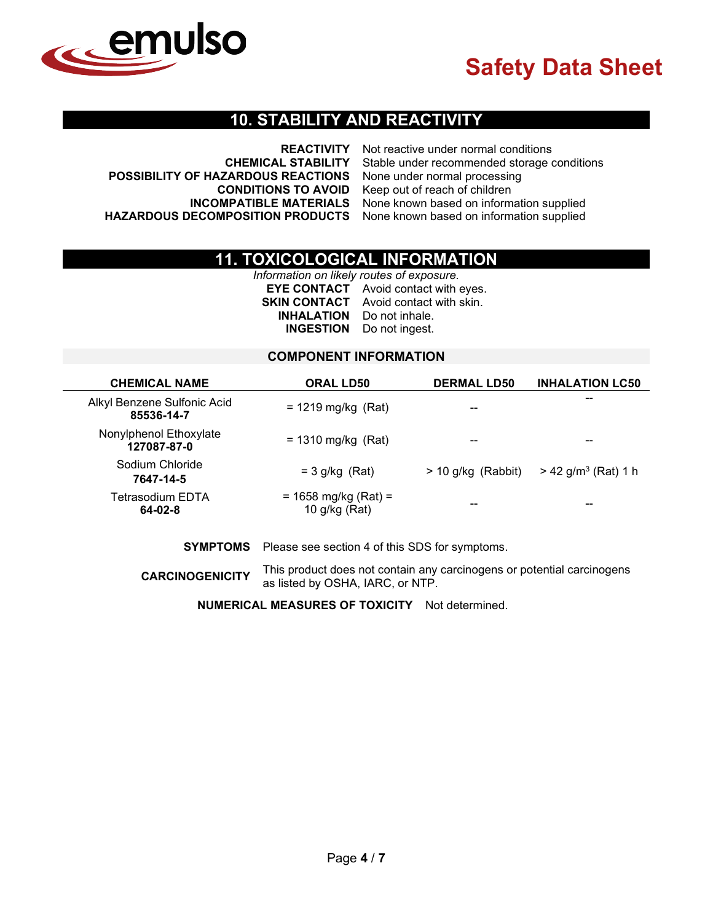

### **10. STABILITY AND REACTIVITY**

|                                                                           | <b>REACTIVITY</b> Not reactive under normal conditions                 |
|---------------------------------------------------------------------------|------------------------------------------------------------------------|
|                                                                           | <b>CHEMICAL STABILITY</b> Stable under recommended storage conditions  |
| POSSIBILITY OF HAZARDOUS REACTIONS None under normal processing           |                                                                        |
|                                                                           | <b>CONDITIONS TO AVOID</b> Keep out of reach of children               |
|                                                                           | <b>INCOMPATIBLE MATERIALS</b> None known based on information supplied |
| HAZARDOUS DECOMPOSITION PRODUCTS None known based on information supplied |                                                                        |

## **11. TOXICOLOGICAL INFORMATION**

*Information on likely routes of exposure.* **EYE CONTACT** Avoid contact with eyes. **SKIN CONTACT** Avoid contact with skin. **INHALATION** Do not inhale. **INGESTION** Do not ingest.

#### **COMPONENT INFORMATION**

| <b>CHEMICAL NAME</b>                      | <b>ORAL LD50</b>                          | <b>DERMAL LD50</b>   | <b>INHALATION LC50</b>            |
|-------------------------------------------|-------------------------------------------|----------------------|-----------------------------------|
| Alkyl Benzene Sulfonic Acid<br>85536-14-7 | $= 1219$ mg/kg (Rat)                      | --                   | --                                |
| Nonylphenol Ethoxylate<br>127087-87-0     | $= 1310$ mg/kg (Rat)                      |                      | --                                |
| Sodium Chloride<br>7647-14-5              | $=$ 3 g/kg (Rat)                          | $> 10$ g/kg (Rabbit) | $> 42$ g/m <sup>3</sup> (Rat) 1 h |
| Tetrasodium EDTA<br>64-02-8               | $= 1658$ mg/kg (Rat) =<br>10 $g/kg$ (Rat) | --                   | --                                |

#### **SYMPTOMS** Please see section 4 of this SDS for symptoms.

**CARCINOGENICITY** This product does not contain any carcinogens or potential carcinogens as listed by OSHA, IARC, or NTP.

**NUMERICAL MEASURES OF TOXICITY** Not determined.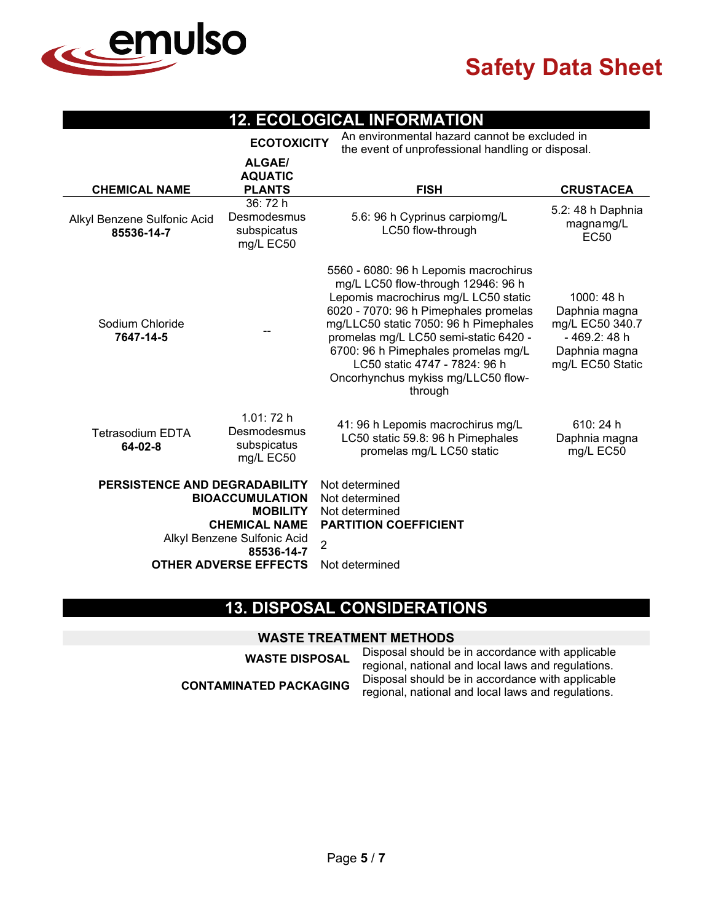

L,

## **12. ECOLOGICAL INFORMATION**

|                                                                                                                                                                                 | <b>ECOTOXICITY</b>                                  | An environmental hazard cannot be excluded in<br>the event of unprofessional handling or disposal.                                                                                                                                                                                                                                                                      |                                                                                                      |  |
|---------------------------------------------------------------------------------------------------------------------------------------------------------------------------------|-----------------------------------------------------|-------------------------------------------------------------------------------------------------------------------------------------------------------------------------------------------------------------------------------------------------------------------------------------------------------------------------------------------------------------------------|------------------------------------------------------------------------------------------------------|--|
| <b>CHEMICAL NAME</b>                                                                                                                                                            | <b>ALGAE/</b><br><b>AQUATIC</b><br><b>PLANTS</b>    | <b>FISH</b>                                                                                                                                                                                                                                                                                                                                                             | <b>CRUSTACEA</b>                                                                                     |  |
| Alkyl Benzene Sulfonic Acid<br>85536-14-7                                                                                                                                       | 36:72h<br>Desmodesmus<br>subspicatus<br>mg/L EC50   | 5.6: 96 h Cyprinus carpiomg/L<br>LC50 flow-through                                                                                                                                                                                                                                                                                                                      | 5.2: 48 h Daphnia<br>magnamg/L<br><b>EC50</b>                                                        |  |
| Sodium Chloride<br>7647-14-5                                                                                                                                                    |                                                     | 5560 - 6080: 96 h Lepomis macrochirus<br>mg/L LC50 flow-through 12946: 96 h<br>Lepomis macrochirus mg/L LC50 static<br>6020 - 7070: 96 h Pimephales promelas<br>mg/LLC50 static 7050: 96 h Pimephales<br>promelas mg/L LC50 semi-static 6420 -<br>6700: 96 h Pimephales promelas mg/L<br>LC50 static 4747 - 7824: 96 h<br>Oncorhynchus mykiss mg/LLC50 flow-<br>through | 1000: 48 h<br>Daphnia magna<br>mg/L EC50 340.7<br>- 469.2: 48 h<br>Daphnia magna<br>mg/L EC50 Static |  |
| <b>Tetrasodium EDTA</b><br>64-02-8                                                                                                                                              | 1.01:72h<br>Desmodesmus<br>subspicatus<br>mg/L EC50 | 41: 96 h Lepomis macrochirus mg/L<br>LC50 static 59.8: 96 h Pimephales<br>promelas mg/L LC50 static                                                                                                                                                                                                                                                                     | 610: 24 h<br>Daphnia magna<br>mg/L EC50                                                              |  |
| PERSISTENCE AND DEGRADABILITY<br><b>BIOACCUMULATION</b><br><b>MOBILITY</b><br><b>CHEMICAL NAME</b><br>Alkyl Benzene Sulfonic Acid<br>85536-14-7<br><b>OTHER ADVERSE EFFECTS</b> |                                                     | Not determined<br>Not determined<br>Not determined<br><b>PARTITION COEFFICIENT</b><br>$\overline{2}$<br>Not determined                                                                                                                                                                                                                                                  |                                                                                                      |  |
|                                                                                                                                                                                 |                                                     |                                                                                                                                                                                                                                                                                                                                                                         |                                                                                                      |  |

## **13. DISPOSAL CONSIDERATIONS**

#### **WASTE TREATMENT METHODS**

| <b>WASTE DISPOSAL</b>         | Disposal should be in accordance with applicable   |
|-------------------------------|----------------------------------------------------|
|                               | regional, national and local laws and regulations. |
| <b>CONTAMINATED PACKAGING</b> | Disposal should be in accordance with applicable   |
|                               | regional, national and local laws and regulations. |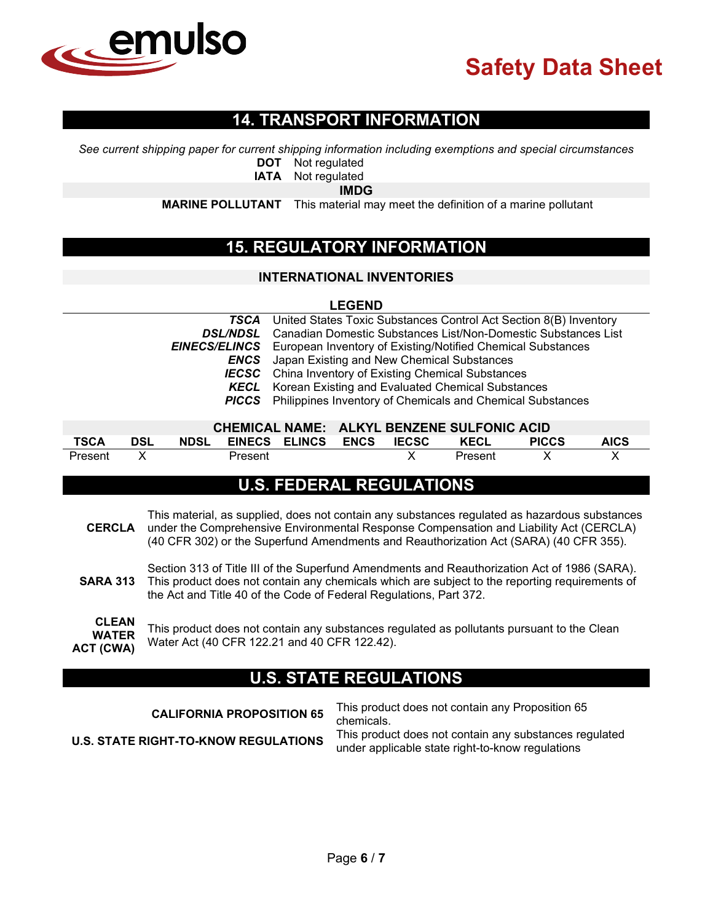

## **14. TRANSPORT INFORMATION**

*See current shipping paper for current shipping information including exemptions and special circumstances*

**DOT** Not regulated

**IATA** Not regulated

**IMDG**

**MARINE POLLUTANT** This material may meet the definition of a marine pollutant

## **15. REGULATORY INFORMATION**

#### **INTERNATIONAL INVENTORIES**

#### **LEGEND**

|                 | <b>TSCA</b> United States Toxic Substances Control Act Section 8(B) Inventory    |
|-----------------|----------------------------------------------------------------------------------|
| <b>DSL/NDSL</b> | Canadian Domestic Substances List/Non-Domestic Substances List                   |
|                 | <b>EINECS/ELINCS</b> European Inventory of Existing/Notified Chemical Substances |
| ENCS            | Japan Existing and New Chemical Substances                                       |
|                 | <b>IECSC</b> China Inventory of Existing Chemical Substances                     |
|                 | <b>KECL</b> Korean Existing and Evaluated Chemical Substances                    |
|                 | <b>PICCS</b> Philippines Inventory of Chemicals and Chemical Substances          |
|                 |                                                                                  |

| CHEMICAL NAME: ALKYL BENZENE SULFONIC ACID |            |  |                               |  |  |  |         |              |             |
|--------------------------------------------|------------|--|-------------------------------|--|--|--|---------|--------------|-------------|
| <b>TSCA</b>                                | <b>DSL</b> |  | NDSL EINECS ELINCS ENCS IECSC |  |  |  | KECL    | <b>PICCS</b> | <b>AICS</b> |
| Present                                    |            |  | Present                       |  |  |  | Present |              |             |

## **U.S. FEDERAL REGULATIONS**

- **CERCLA** This material, as supplied, does not contain any substances regulated as hazardous substances under the Comprehensive Environmental Response Compensation and Liability Act (CERCLA) (40 CFR 302) or the Superfund Amendments and Reauthorization Act (SARA) (40 CFR 355).
- **SARA 313** Section 313 of Title III of the Superfund Amendments and Reauthorization Act of 1986 (SARA). This product does not contain any chemicals which are subject to the reporting requirements of the Act and Title 40 of the Code of Federal Regulations, Part 372.

**CLEAN WATER ACT (CWA)** This product does not contain any substances regulated as pollutants pursuant to the Clean Water Act (40 CFR 122.21 and 40 CFR 122.42).

## **U.S. STATE REGULATIONS**

| <b>CALIFORNIA PROPOSITION 65</b>            | This product does not contain any Proposition 65<br>chemicals.                                             |
|---------------------------------------------|------------------------------------------------------------------------------------------------------------|
| <b>U.S. STATE RIGHT-TO-KNOW REGULATIONS</b> | This product does not contain any substances regulated<br>under applicable state right-to-know regulations |